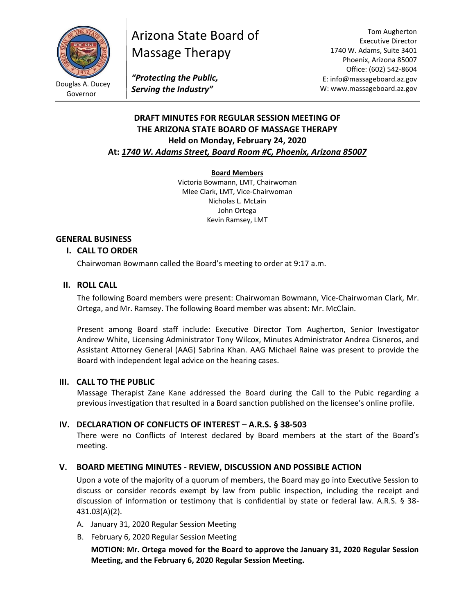

Governor

# Arizona State Board of Massage Therapy

Tom Augherton Executive Director 1740 W. Adams, Suite 3401 Phoenix, Arizona 85007 Office: (602) 542-8604 E: info@massageboard.az.gov W: www.massageboard.az.gov

*"Protecting the Public, Serving the Industry"*

# **DRAFT MINUTES FOR REGULAR SESSION MEETING OF THE ARIZONA STATE BOARD OF MASSAGE THERAPY Held on Monday, February 24, 2020 At:** *1740 W. Adams Street, Board Room #C, Phoenix, Arizona 85007*

## **Board Members**

Victoria Bowmann, LMT, Chairwoman Mlee Clark, LMT, Vice-Chairwoman Nicholas L. McLain John Ortega Kevin Ramsey, LMT

## **GENERAL BUSINESS**

## **I. CALL TO ORDER**

Chairwoman Bowmann called the Board's meeting to order at 9:17 a.m.

## **II. ROLL CALL**

The following Board members were present: Chairwoman Bowmann, Vice-Chairwoman Clark, Mr. Ortega, and Mr. Ramsey. The following Board member was absent: Mr. McClain.

Present among Board staff include: Executive Director Tom Augherton, Senior Investigator Andrew White, Licensing Administrator Tony Wilcox, Minutes Administrator Andrea Cisneros, and Assistant Attorney General (AAG) Sabrina Khan. AAG Michael Raine was present to provide the Board with independent legal advice on the hearing cases.

## **III. CALL TO THE PUBLIC**

Massage Therapist Zane Kane addressed the Board during the Call to the Pubic regarding a previous investigation that resulted in a Board sanction published on the licensee's online profile.

## **IV. DECLARATION OF CONFLICTS OF INTEREST – A.R.S. § 38-503**

There were no Conflicts of Interest declared by Board members at the start of the Board's meeting.

## **V. BOARD MEETING MINUTES - REVIEW, DISCUSSION AND POSSIBLE ACTION**

Upon a vote of the majority of a quorum of members, the Board may go into Executive Session to discuss or consider records exempt by law from public inspection, including the receipt and discussion of information or testimony that is confidential by state or federal law. A.R.S. § 38- 431.03(A)(2).

- A. January 31, 2020 Regular Session Meeting
- B. February 6, 2020 Regular Session Meeting

**MOTION: Mr. Ortega moved for the Board to approve the January 31, 2020 Regular Session Meeting, and the February 6, 2020 Regular Session Meeting.**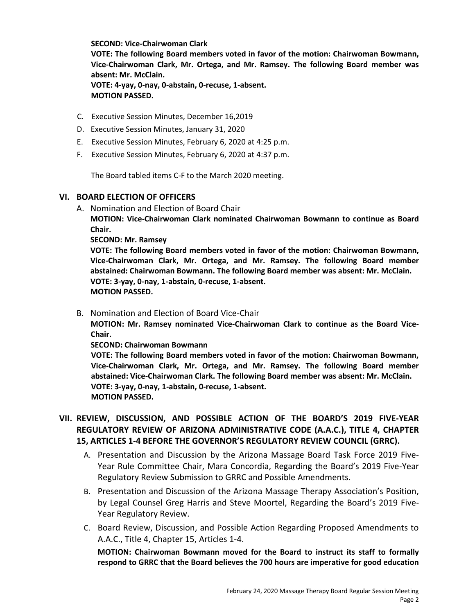**SECOND: Vice-Chairwoman Clark VOTE: The following Board members voted in favor of the motion: Chairwoman Bowmann, Vice-Chairwoman Clark, Mr. Ortega, and Mr. Ramsey. The following Board member was absent: Mr. McClain. VOTE: 4-yay, 0-nay, 0-abstain, 0-recuse, 1-absent. MOTION PASSED.**

- C. Executive Session Minutes, December 16,2019
- D. Executive Session Minutes, January 31, 2020
- E. Executive Session Minutes, February 6, 2020 at 4:25 p.m.
- F. Executive Session Minutes, February 6, 2020 at 4:37 p.m.

The Board tabled items C-F to the March 2020 meeting.

#### **VI. BOARD ELECTION OF OFFICERS**

A. Nomination and Election of Board Chair

**MOTION: Vice-Chairwoman Clark nominated Chairwoman Bowmann to continue as Board Chair.**

**SECOND: Mr. Ramsey** 

**VOTE: The following Board members voted in favor of the motion: Chairwoman Bowmann, Vice-Chairwoman Clark, Mr. Ortega, and Mr. Ramsey. The following Board member abstained: Chairwoman Bowmann. The following Board member was absent: Mr. McClain. VOTE: 3-yay, 0-nay, 1-abstain, 0-recuse, 1-absent. MOTION PASSED.**

B. Nomination and Election of Board Vice-Chair

**MOTION: Mr. Ramsey nominated Vice-Chairwoman Clark to continue as the Board Vice-Chair.** 

**SECOND: Chairwoman Bowmann** 

**VOTE: The following Board members voted in favor of the motion: Chairwoman Bowmann, Vice-Chairwoman Clark, Mr. Ortega, and Mr. Ramsey. The following Board member abstained: Vice-Chairwoman Clark. The following Board member was absent: Mr. McClain. VOTE: 3-yay, 0-nay, 1-abstain, 0-recuse, 1-absent. MOTION PASSED.**

# **VII. REVIEW, DISCUSSION, AND POSSIBLE ACTION OF THE BOARD'S 2019 FIVE-YEAR REGULATORY REVIEW OF ARIZONA ADMINISTRATIVE CODE (A.A.C.), TITLE 4, CHAPTER 15, ARTICLES 1-4 BEFORE THE GOVERNOR'S REGULATORY REVIEW COUNCIL (GRRC).**

- A. Presentation and Discussion by the Arizona Massage Board Task Force 2019 Five-Year Rule Committee Chair, Mara Concordia, Regarding the Board's 2019 Five-Year Regulatory Review Submission to GRRC and Possible Amendments.
- B. Presentation and Discussion of the Arizona Massage Therapy Association's Position, by Legal Counsel Greg Harris and Steve Moortel, Regarding the Board's 2019 Five-Year Regulatory Review.
- C. Board Review, Discussion, and Possible Action Regarding Proposed Amendments to A.A.C., Title 4, Chapter 15, Articles 1-4.

**MOTION: Chairwoman Bowmann moved for the Board to instruct its staff to formally respond to GRRC that the Board believes the 700 hours are imperative for good education**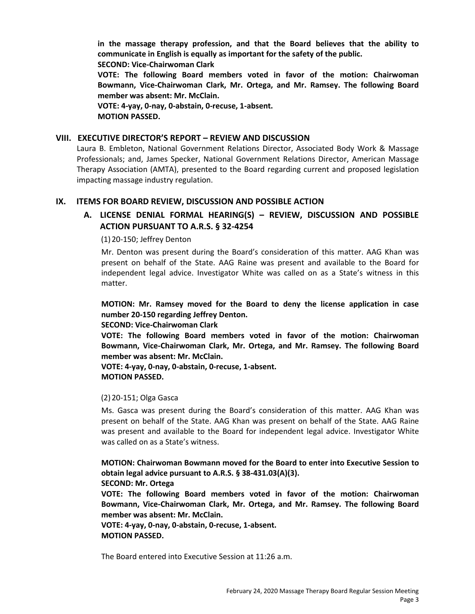**in the massage therapy profession, and that the Board believes that the ability to communicate in English is equally as important for the safety of the public.** 

**SECOND: Vice-Chairwoman Clark** 

**VOTE: The following Board members voted in favor of the motion: Chairwoman Bowmann, Vice-Chairwoman Clark, Mr. Ortega, and Mr. Ramsey. The following Board member was absent: Mr. McClain.** 

**VOTE: 4-yay, 0-nay, 0-abstain, 0-recuse, 1-absent. MOTION PASSED.**

## **VIII. EXECUTIVE DIRECTOR'S REPORT – REVIEW AND DISCUSSION**

Laura B. Embleton, National Government Relations Director, Associated Body Work & Massage Professionals; and, James Specker, National Government Relations Director, American Massage Therapy Association (AMTA), presented to the Board regarding current and proposed legislation impacting massage industry regulation.

## **IX. ITEMS FOR BOARD REVIEW, DISCUSSION AND POSSIBLE ACTION**

# **A. LICENSE DENIAL FORMAL HEARING(S) – REVIEW, DISCUSSION AND POSSIBLE ACTION PURSUANT TO A.R.S. § 32-4254**

(1)20-150; Jeffrey Denton

Mr. Denton was present during the Board's consideration of this matter. AAG Khan was present on behalf of the State. AAG Raine was present and available to the Board for independent legal advice. Investigator White was called on as a State's witness in this matter.

**MOTION: Mr. Ramsey moved for the Board to deny the license application in case number 20-150 regarding Jeffrey Denton.** 

## **SECOND: Vice-Chairwoman Clark**

**VOTE: The following Board members voted in favor of the motion: Chairwoman Bowmann, Vice-Chairwoman Clark, Mr. Ortega, and Mr. Ramsey. The following Board member was absent: Mr. McClain.** 

**VOTE: 4-yay, 0-nay, 0-abstain, 0-recuse, 1-absent. MOTION PASSED.**

## (2)20-151; Olga Gasca

Ms. Gasca was present during the Board's consideration of this matter. AAG Khan was present on behalf of the State. AAG Khan was present on behalf of the State. AAG Raine was present and available to the Board for independent legal advice. Investigator White was called on as a State's witness.

**MOTION: Chairwoman Bowmann moved for the Board to enter into Executive Session to obtain legal advice pursuant to A.R.S. § 38-431.03(A)(3).** 

#### **SECOND: Mr. Ortega**

**VOTE: The following Board members voted in favor of the motion: Chairwoman Bowmann, Vice-Chairwoman Clark, Mr. Ortega, and Mr. Ramsey. The following Board member was absent: Mr. McClain.** 

**VOTE: 4-yay, 0-nay, 0-abstain, 0-recuse, 1-absent. MOTION PASSED.**

The Board entered into Executive Session at 11:26 a.m.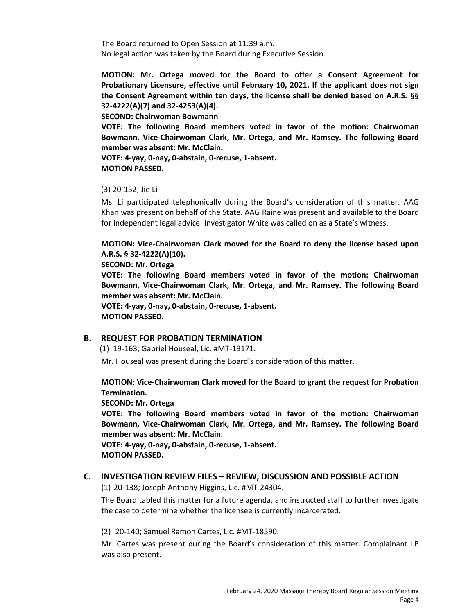The Board returned to Open Session at 11:39 a.m. No legal action was taken by the Board during Executive Session.

**MOTION: Mr. Ortega moved for the Board to offer a Consent Agreement for Probationary Licensure, effective until February 10, 2021. If the applicant does not sign the Consent Agreement within ten days, the license shall be denied based on A.R.S. §§ 32-4222(A)(7) and 32-4253(A)(4).** 

**SECOND: Chairwoman Bowmann**

**VOTE: The following Board members voted in favor of the motion: Chairwoman Bowmann, Vice-Chairwoman Clark, Mr. Ortega, and Mr. Ramsey. The following Board member was absent: Mr. McClain.** 

**VOTE: 4-yay, 0-nay, 0-abstain, 0-recuse, 1-absent. MOTION PASSED.**

## (3) 20-152; Jie Li

Ms. Li participated telephonically during the Board's consideration of this matter. AAG Khan was present on behalf of the State. AAG Raine was present and available to the Board for independent legal advice. Investigator White was called on as a State's witness.

**MOTION: Vice-Chairwoman Clark moved for the Board to deny the license based upon A.R.S. § 32-4222(A)(10).** 

**SECOND: Mr. Ortega** 

**VOTE: The following Board members voted in favor of the motion: Chairwoman Bowmann, Vice-Chairwoman Clark, Mr. Ortega, and Mr. Ramsey. The following Board member was absent: Mr. McClain.** 

**VOTE: 4-yay, 0-nay, 0-abstain, 0-recuse, 1-absent. MOTION PASSED.**

#### **B. REQUEST FOR PROBATION TERMINATION**

(1) 19-163; Gabriel Houseal, Lic. #MT-19171.

Mr. Houseal was present during the Board's consideration of this matter.

**MOTION: Vice-Chairwoman Clark moved for the Board to grant the request for Probation Termination.** 

#### **SECOND: Mr. Ortega**

**VOTE: The following Board members voted in favor of the motion: Chairwoman Bowmann, Vice-Chairwoman Clark, Mr. Ortega, and Mr. Ramsey. The following Board member was absent: Mr. McClain.**

**VOTE: 4-yay, 0-nay, 0-abstain, 0-recuse, 1-absent. MOTION PASSED.**

## **C. INVESTIGATION REVIEW FILES – REVIEW, DISCUSSION AND POSSIBLE ACTION**

(1) 20-138; Joseph Anthony Higgins, Lic. #MT-24304.

The Board tabled this matter for a future agenda, and instructed staff to further investigate the case to determine whether the licensee is currently incarcerated.

(2) 20-140; Samuel Ramon Cartes, Lic. #MT-18590.

Mr. Cartes was present during the Board's consideration of this matter. Complainant LB was also present.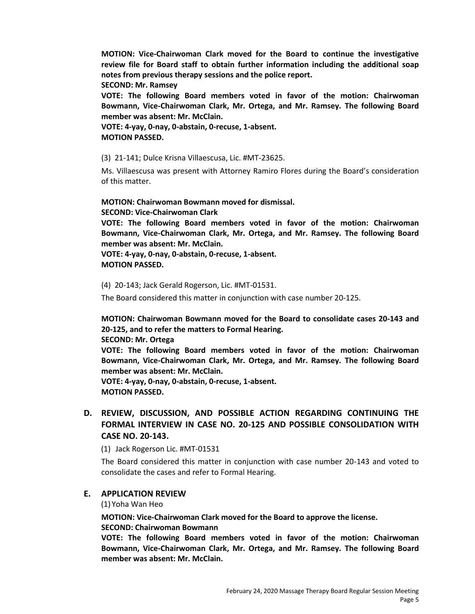**MOTION: Vice-Chairwoman Clark moved for the Board to continue the investigative review file for Board staff to obtain further information including the additional soap notes from previous therapy sessions and the police report.** 

**SECOND: Mr. Ramsey** 

**VOTE: The following Board members voted in favor of the motion: Chairwoman Bowmann, Vice-Chairwoman Clark, Mr. Ortega, and Mr. Ramsey. The following Board member was absent: Mr. McClain.** 

**VOTE: 4-yay, 0-nay, 0-abstain, 0-recuse, 1-absent. MOTION PASSED.**

(3) 21-141; Dulce Krisna Villaescusa, Lic. #MT-23625.

Ms. Villaescusa was present with Attorney Ramiro Flores during the Board's consideration of this matter.

**MOTION: Chairwoman Bowmann moved for dismissal. SECOND: Vice-Chairwoman Clark** 

**VOTE: The following Board members voted in favor of the motion: Chairwoman Bowmann, Vice-Chairwoman Clark, Mr. Ortega, and Mr. Ramsey. The following Board member was absent: Mr. McClain.** 

**VOTE: 4-yay, 0-nay, 0-abstain, 0-recuse, 1-absent. MOTION PASSED.**

(4) 20-143; Jack Gerald Rogerson, Lic. #MT-01531.

The Board considered this matter in conjunction with case number 20-125.

**MOTION: Chairwoman Bowmann moved for the Board to consolidate cases 20-143 and 20-125, and to refer the matters to Formal Hearing.**

**SECOND: Mr. Ortega** 

**VOTE: The following Board members voted in favor of the motion: Chairwoman Bowmann, Vice-Chairwoman Clark, Mr. Ortega, and Mr. Ramsey. The following Board member was absent: Mr. McClain.** 

**VOTE: 4-yay, 0-nay, 0-abstain, 0-recuse, 1-absent. MOTION PASSED.**

# **D. REVIEW, DISCUSSION, AND POSSIBLE ACTION REGARDING CONTINUING THE FORMAL INTERVIEW IN CASE NO. 20-125 AND POSSIBLE CONSOLIDATION WITH CASE NO. 20-143.**

(1) Jack Rogerson Lic. #MT-01531

The Board considered this matter in conjunction with case number 20-143 and voted to consolidate the cases and refer to Formal Hearing.

#### **E. APPLICATION REVIEW**

(1) Yoha Wan Heo

**MOTION: Vice-Chairwoman Clark moved for the Board to approve the license.** 

#### **SECOND: Chairwoman Bowmann**

**VOTE: The following Board members voted in favor of the motion: Chairwoman Bowmann, Vice-Chairwoman Clark, Mr. Ortega, and Mr. Ramsey. The following Board member was absent: Mr. McClain.**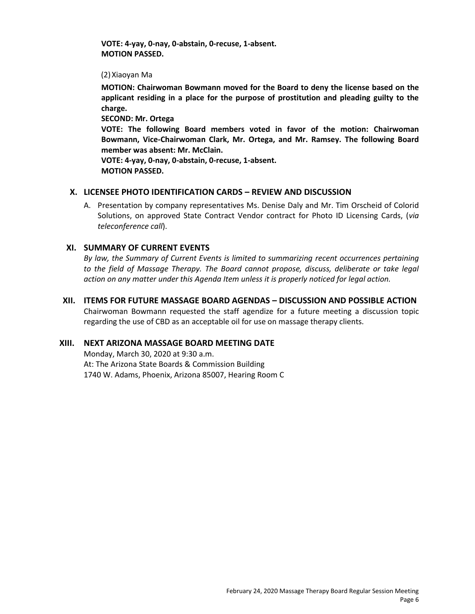**VOTE: 4-yay, 0-nay, 0-abstain, 0-recuse, 1-absent. MOTION PASSED.**

(2)Xiaoyan Ma

**MOTION: Chairwoman Bowmann moved for the Board to deny the license based on the applicant residing in a place for the purpose of prostitution and pleading guilty to the charge.** 

**SECOND: Mr. Ortega** 

**VOTE: The following Board members voted in favor of the motion: Chairwoman Bowmann, Vice-Chairwoman Clark, Mr. Ortega, and Mr. Ramsey. The following Board member was absent: Mr. McClain.** 

**VOTE: 4-yay, 0-nay, 0-abstain, 0-recuse, 1-absent. MOTION PASSED.**

## **X. LICENSEE PHOTO IDENTIFICATION CARDS – REVIEW AND DISCUSSION**

A. Presentation by company representatives Ms. Denise Daly and Mr. Tim Orscheid of Colorid Solutions, on approved State Contract Vendor contract for Photo ID Licensing Cards, (*via teleconference call*).

## **XI. SUMMARY OF CURRENT EVENTS**

*By law, the Summary of Current Events is limited to summarizing recent occurrences pertaining*  to the field of Massage Therapy. The Board cannot propose, discuss, deliberate or take legal *action on any matter under this Agenda Item unless it is properly noticed for legal action.* 

## **XII. ITEMS FOR FUTURE MASSAGE BOARD AGENDAS – DISCUSSION AND POSSIBLE ACTION**

Chairwoman Bowmann requested the staff agendize for a future meeting a discussion topic regarding the use of CBD as an acceptable oil for use on massage therapy clients.

## **XIII. NEXT ARIZONA MASSAGE BOARD MEETING DATE**

Monday, March 30, 2020 at 9:30 a.m. At: The Arizona State Boards & Commission Building 1740 W. Adams, Phoenix, Arizona 85007, Hearing Room C